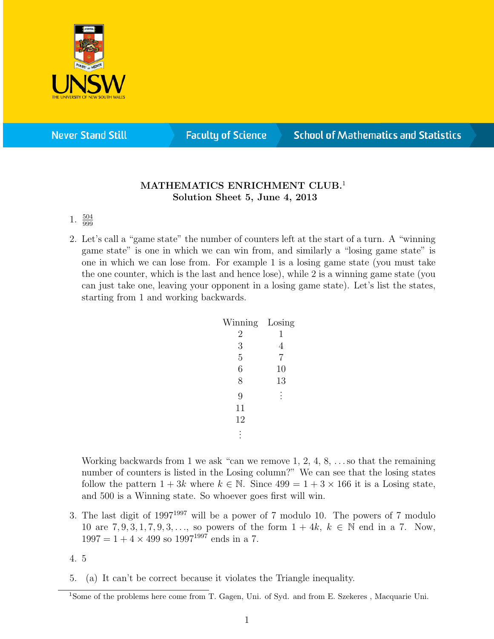

**Never Stand Still** 

**Faculty of Science** 

## **School of Mathematics and Statistics**

## MATHEMATICS ENRICHMENT CLUB.<sup>1</sup> Solution Sheet 5, June 4, 2013

## 1.  $\frac{504}{999}$

2. Let's call a "game state" the number of counters left at the start of a turn. A "winning game state" is one in which we can win from, and similarly a "losing game state" is one in which we can lose from. For example 1 is a losing game state (you must take the one counter, which is the last and hence lose), while 2 is a winning game state (you can just take one, leaving your opponent in a losing game state). Let's list the states, starting from 1 and working backwards.

| Winning        | Losing         |
|----------------|----------------|
| $\overline{2}$ | 1              |
| 3              | 4              |
| $\overline{5}$ | $\overline{7}$ |
| 6              | 10             |
| 8              | 13             |
| 9              |                |
| 11             |                |
| 12             |                |
|                |                |

Working backwards from 1 we ask "can we remove 1, 2, 4, 8, . . . so that the remaining number of counters is listed in the Losing column?" We can see that the losing states follow the pattern  $1+3k$  where  $k \in \mathbb{N}$ . Since  $499 = 1+3 \times 166$  it is a Losing state, and 500 is a Winning state. So whoever goes first will win.

- 3. The last digit of 1997<sup>1997</sup> will be a power of 7 modulo 10. The powers of 7 modulo 10 are  $7, 9, 3, 1, 7, 9, 3, \ldots$ , so powers of the form  $1 + 4k$ ,  $k \in \mathbb{N}$  end in a 7. Now,  $1997 = 1 + 4 \times 499$  so  $1997^{1997}$  ends in a 7.
- 4. 5
- 5. (a) It can't be correct because it violates the Triangle inequality.

<sup>1</sup>Some of the problems here come from T. Gagen, Uni. of Syd. and from E. Szekeres , Macquarie Uni.